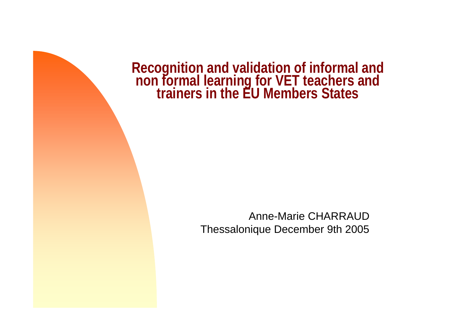**Recognition and validation of informal and non formal learning for VET teachers and trainers in the EU Members States**

Anne-Marie CHARRAUDThessalonique December 9th 2005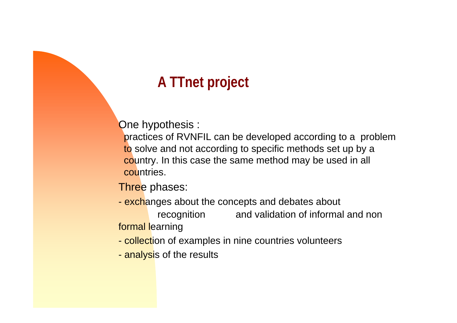# **A TTnet project**

One hypothesis :

practices of RVNFIL can be developed according to a problem to solve and not according to specific methods set up by a country. In this case the same method may be used in all countries.

Three phases:

- exchanges about the concepts and debates about recognition and validation of informal and non formal learning
- <mark>- collect</mark>ion of examples in nine countries volunteers
- <mark>- analysi</mark>s of the results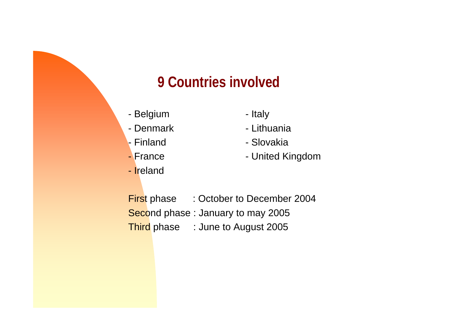### **9 Countries involved**

- Belgium Italy
- Denmark
- Finland
- France
- Ireland
- 
- Lithuania
- Slovakia
- United Kingdom

**First phase : October to December 2004** Second phase: January to may 2005 Third phase : June to August 2005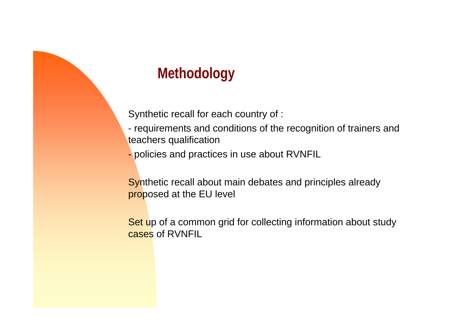## **Methodology**

Synthetic recall for each country of :

- requirements and conditions of the recognition of trainers and teachers qualification

- policies and practices in use about RVNFIL

Synthetic recall about main debates and principles already proposed at the EU level

Set up of a common grid for collecting information about study cases of RVNFIL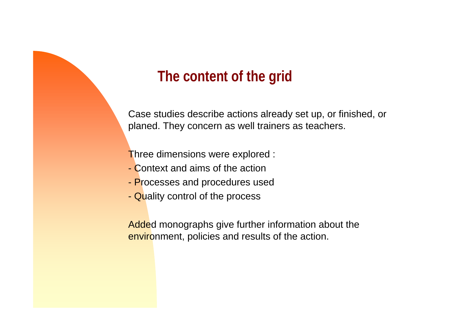#### **The content of the grid**

Case studies describe actions already set up, or finished, or planed. They concern as well trainers as teachers.

Three dimensions were explored :

- Context and aims of the action
- Processes and procedures used
- Quality control of the process

Added monographs give further information about the environment, policies and results of the action.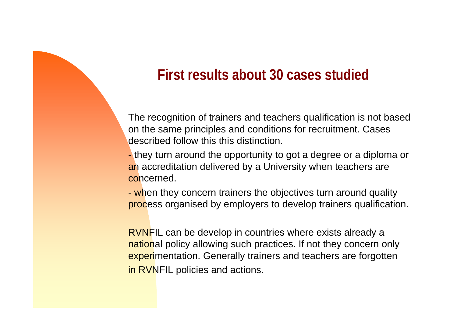#### **First results about 30 cases studied**

The recognition of trainers and teachers qualification is not based on the same principles and conditions for recruitment. Cases described follow this this distinction.

- they turn around the opportunity to got a degree or a diploma or an accreditation delivered by a University when teachers are concerned.

- when they concern trainers the objectives turn around quality process organised by employers to develop trainers qualification.

RVNFIL can be develop in countries where exists already a national policy allowing such practices. If not they concern only experimentation. Generally trainers and teachers are forgotten in RVNFIL policies and actions.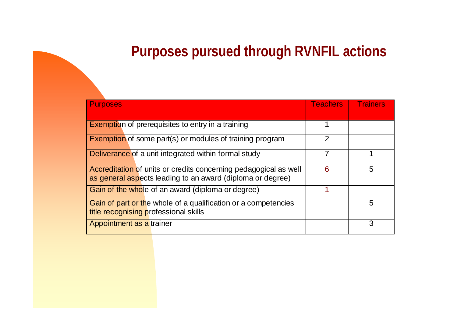### **Purposes pursued through RVNFIL actions**

| <b>Purposes</b>                                                                                                                | <b>Teachers</b> | <b>Trainers</b> |
|--------------------------------------------------------------------------------------------------------------------------------|-----------------|-----------------|
|                                                                                                                                |                 |                 |
| <b>Exemption of prerequisites to entry in a training</b>                                                                       |                 |                 |
| <b>Exemption</b> of some part(s) or modules of training program                                                                | $\overline{2}$  |                 |
| Deliverance of a unit integrated within formal study                                                                           |                 |                 |
| Accreditation of units or credits concerning pedagogical as well<br>as general aspects leading to an award (diploma or degree) | 6               | 5               |
| Gain of the whole of an award (diploma or degree)                                                                              |                 |                 |
| Gain of part or the whole of a qualification or a competencies<br>title recognising professional skills                        |                 | 5               |
| Appointment as a trainer                                                                                                       |                 | 3               |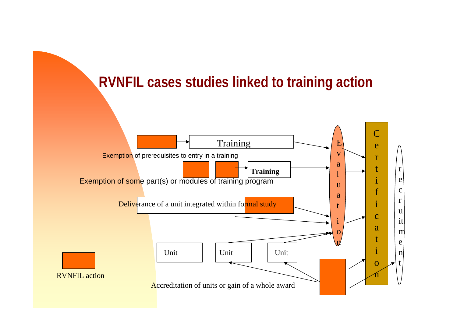